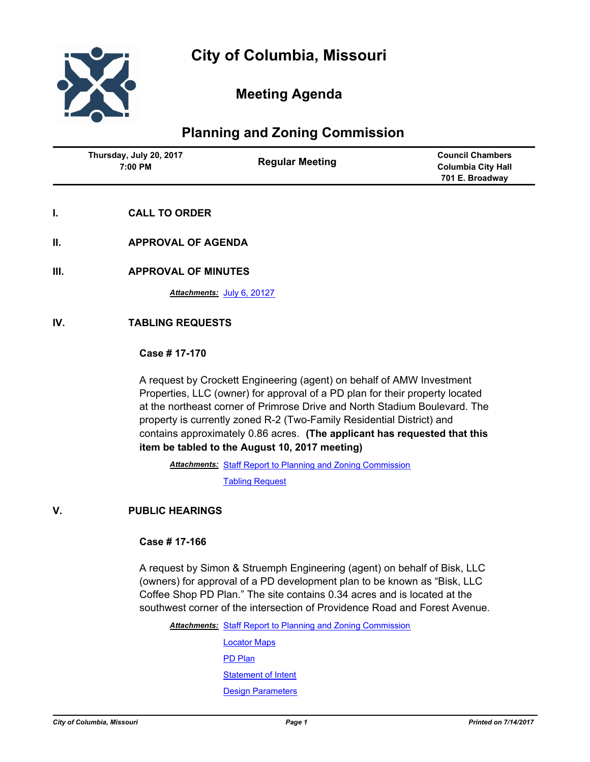

# **Meeting Agenda**

# **Planning and Zoning Commission**

| Thursday, July 20, 2017<br>7:00 PM | <b>Regular Meeting</b> | <b>Council Chambers</b><br><b>Columbia City Hall</b><br>701 E. Broadway |
|------------------------------------|------------------------|-------------------------------------------------------------------------|
|                                    |                        |                                                                         |

- **I. CALL TO ORDER**
- **II. APPROVAL OF AGENDA**
- **III. APPROVAL OF MINUTES**

*Attachments:* [July 6, 20127](http://gocolumbiamo.legistar.com/gateway.aspx?M=F&ID=77c2e55e-e862-4d9f-b991-5e8a3ee6b9b3.docx)

## **IV. TABLING REQUESTS**

#### **Case # 17-170**

A request by Crockett Engineering (agent) on behalf of AMW Investment Properties, LLC (owner) for approval of a PD plan for their property located at the northeast corner of Primrose Drive and North Stadium Boulevard. The property is currently zoned R-2 (Two-Family Residential District) and contains approximately 0.86 acres. **(The applicant has requested that this item be tabled to the August 10, 2017 meeting)**

Attachments: [Staff Report to Planning and Zoning Commission](http://gocolumbiamo.legistar.com/gateway.aspx?M=F&ID=fff62e98-f98b-410d-9604-de6d75cad325.pdf)

[Tabling Request](http://gocolumbiamo.legistar.com/gateway.aspx?M=F&ID=550a9b60-7738-4109-a7f9-f50d714ef507.pdf)

## **V. PUBLIC HEARINGS**

## **Case # 17-166**

A request by Simon & Struemph Engineering (agent) on behalf of Bisk, LLC (owners) for approval of a PD development plan to be known as "Bisk, LLC Coffee Shop PD Plan." The site contains 0.34 acres and is located at the southwest corner of the intersection of Providence Road and Forest Avenue.

Attachments: [Staff Report to Planning and Zoning Commission](http://gocolumbiamo.legistar.com/gateway.aspx?M=F&ID=f3a4560e-85c5-4f13-9ebe-a68206cf4538.docx)

[Locator Maps](http://gocolumbiamo.legistar.com/gateway.aspx?M=F&ID=51350b19-5807-446b-b395-0bde28682175.pdf) [PD Plan](http://gocolumbiamo.legistar.com/gateway.aspx?M=F&ID=dd6fb911-c734-448d-ac88-cfd2aabc75ec.pdf) [Statement of Intent](http://gocolumbiamo.legistar.com/gateway.aspx?M=F&ID=4b8f3e70-c0e7-4e5c-aa5e-6ed941212f17.pdf) [Design Parameters](http://gocolumbiamo.legistar.com/gateway.aspx?M=F&ID=7dce379e-b6d8-41f2-baec-66aa92498eb2.pdf)